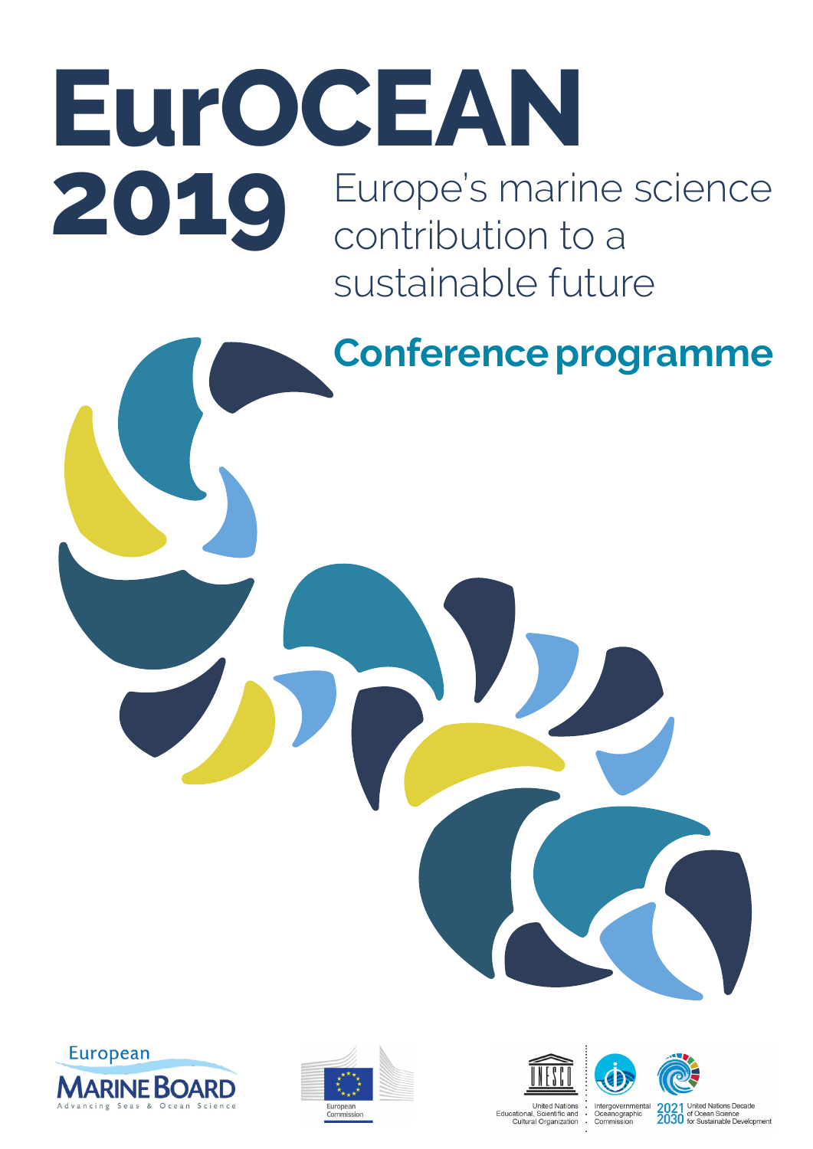## Europe's marine science contribution to a sustainable future **EurOCEAN 2019**











2021 United Nations Decade<br>2030 of Ocean Science<br>2030 for Sustainable Development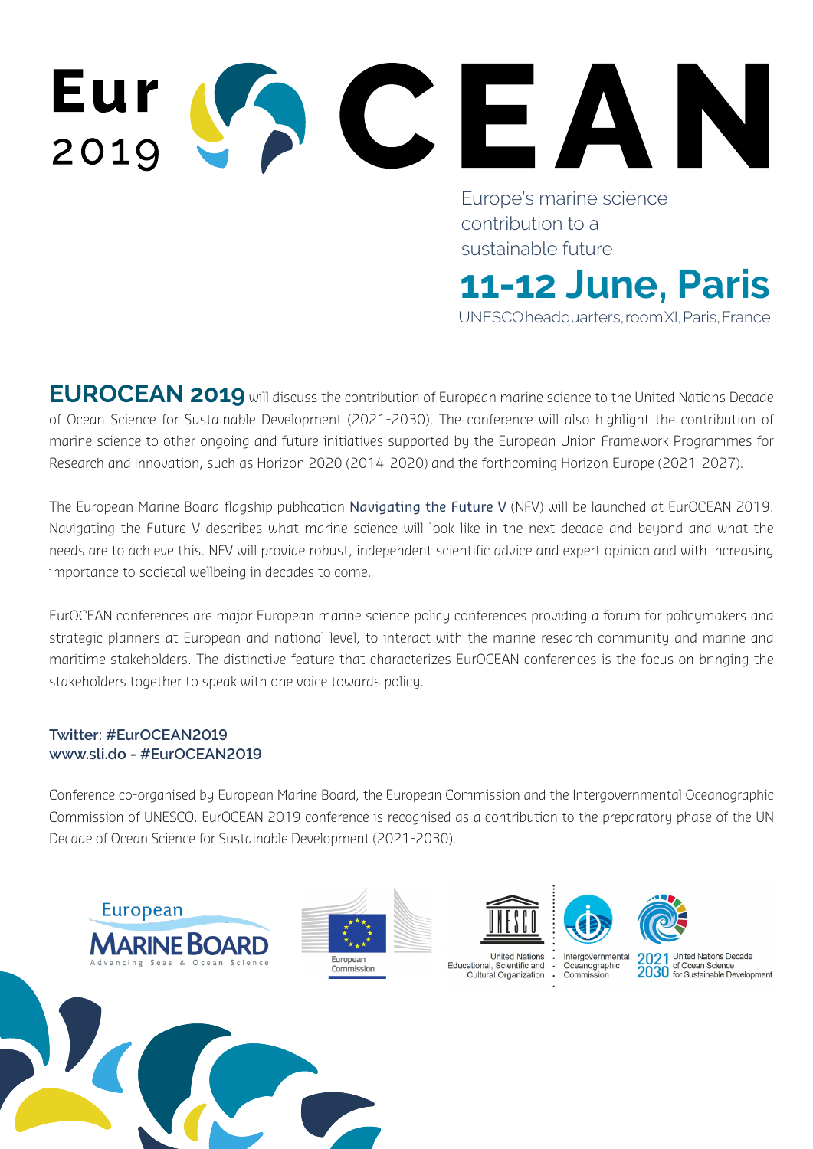# Eur 2019

Europe's marine science contribution to a sustainable future

UNESCO headquarters, room XI, Paris, France

**11-12 June, Paris**

**EUROCEAN 2019** will discuss the contribution of European marine science to the United Nations Decade of Ocean Science for Sustainable Development (2021-2030). The conference will also highlight the contribution of marine science to other ongoing and future initiatives supported by the European Union Framework Programmes for Research and Innovation, such as Horizon 2020 (2014-2020) and the forthcoming Horizon Europe (2021-2027).

The European Marine Board flagship publication Navigating the Future V (NFV) will be launched at EurOCEAN 2019. Navigating the Future V describes what marine science will look like in the next decade and beyond and what the needs are to achieve this. NFV will provide robust, independent scientific advice and expert opinion and with increasing importance to societal wellbeing in decades to come. n **Navigating the Future V** (NFV) will be launched at EurOCEAN 2019.<br>In science will look like in the next decade and beyond and what the<br>st, independent scientific advice and expert opinion and with increasing<br>ome.<br>The sc

EurOCEAN conferences are major European marine science policy conferences providing a forum for policymakers and strategic planners at European and national level, to interact with the marine research community and marine and maritime stakeholders. The distinctive feature that characterizes EurOCEAN conferences is the focus on bringing the stakeholders together to speak with one voice towards policy.

#### **Twitter: #EurOCEAN2019 www.sli.do - #EurOCEAN2019**

Conference co-organised by European Marine Board, the European Commission and the Intergovernmental Oceanographic Commission of UNESCO. EurOCEAN 2019 conference is recognised as a contribution to the preparatory phase of the UN Decade of Ocean Science for Sustainable Development (2021-2030).









Commission

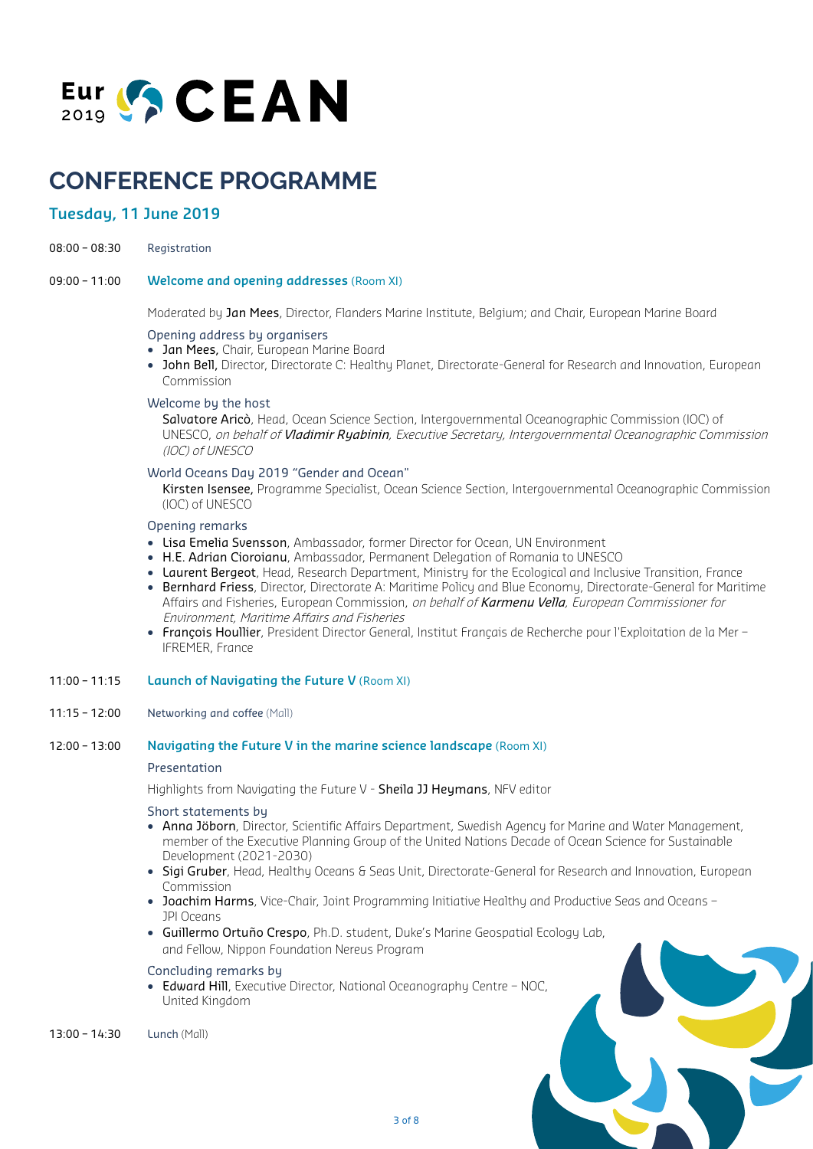

### **CONFERENCE PROGRAMME ICE PROGRAMN**<br>22019

#### **Tuesday, 11 June 2019**

- 08:00 08:30 Registration
- 09:00 11:00 **Welcome and opening addresses** (Room XI) tration<br><mark>ome and opening addresses</mark>

Moderated by Jan Mees, Director, Flanders Marine Institute, Belgium; and Chair, European Marine Board

#### Opening address by organisers

- Jan Mees, Chair, European Marine Board
- John Bell, Director, Directorate C: Healthy Planet, Directorate-General for Research and Innovation, European Commission

#### Welcome by the host

Salvatore Aricò, Head, Ocean Science Section, Intergovernmental Oceanographic Commission (IOC) of UNESCO, on behalf of Vladimir Ryabinin, Executive Secretary, Intergovernmental Oceanographic Commission (IOC) of UNESCO

#### World Oceans Day 2019 "Gender and Ocean"

 Kirsten Isensee, Programme Specialist, Ocean Science Section, Intergovernmental Oceanographic Commission (IOC) of UNESCO

#### Opening remarks

- Lisa Emelia Svensson, Ambassador, former Director for Ocean, UN Environment
- H.E. Adrian Cioroianu, Ambassador, Permanent Delegation of Romania to UNESCO
- Laurent Bergeot, Head, Research Department, Ministry for the Ecological and Inclusive Transition, France
- Bernhard Friess, Director, Directorate A: Maritime Policy and Blue Economy, Directorate-General for Maritime Affairs and Fisheries, European Commission, on behalf of Karmenu Vella, European Commissioner for Environment, Maritime Affairs and Fisheries
- François Houllier, President Director General, Institut Français de Recherche pour l'Exploitation de la Mer IFREMER, France

#### 11:00 – 11:15 **Launch of Navigating the Future V** (Room XI)

11:15 – 12:00 Networking and coffee (Mall)

#### 12:00 – 13:00 **Navigating the Future V in the marine science landscape** (Room XI)

#### Presentation

Highlights from Navigating the Future V - Sheila JJ Heymans, NFV editor

#### Short statements by

- Anna Jöborn, Director, Scientific Affairs Department, Swedish Agency for Marine and Water Management, member of the Executive Planning Group of the United Nations Decade of Ocean Science for Sustainable Development (2021-2030)
- Sigi Gruber, Head, Healthy Oceans & Seas Unit, Directorate-General for Research and Innovation, European Commission
- Joachim Harms, Vice-Chair, Joint Programming Initiative Healthy and Productive Seas and Oceans JPI Oceans
- Guillermo Ortuño Crespo, Ph.D. student, Duke's Marine Geospatial Ecology Lab, and Fellow, Nippon Foundation Nereus Program

#### Concluding remarks by

• Edward Hill, Executive Director, National Oceanography Centre – NOC, United Kingdom

13:00 – 14:30 Lunch (Mall)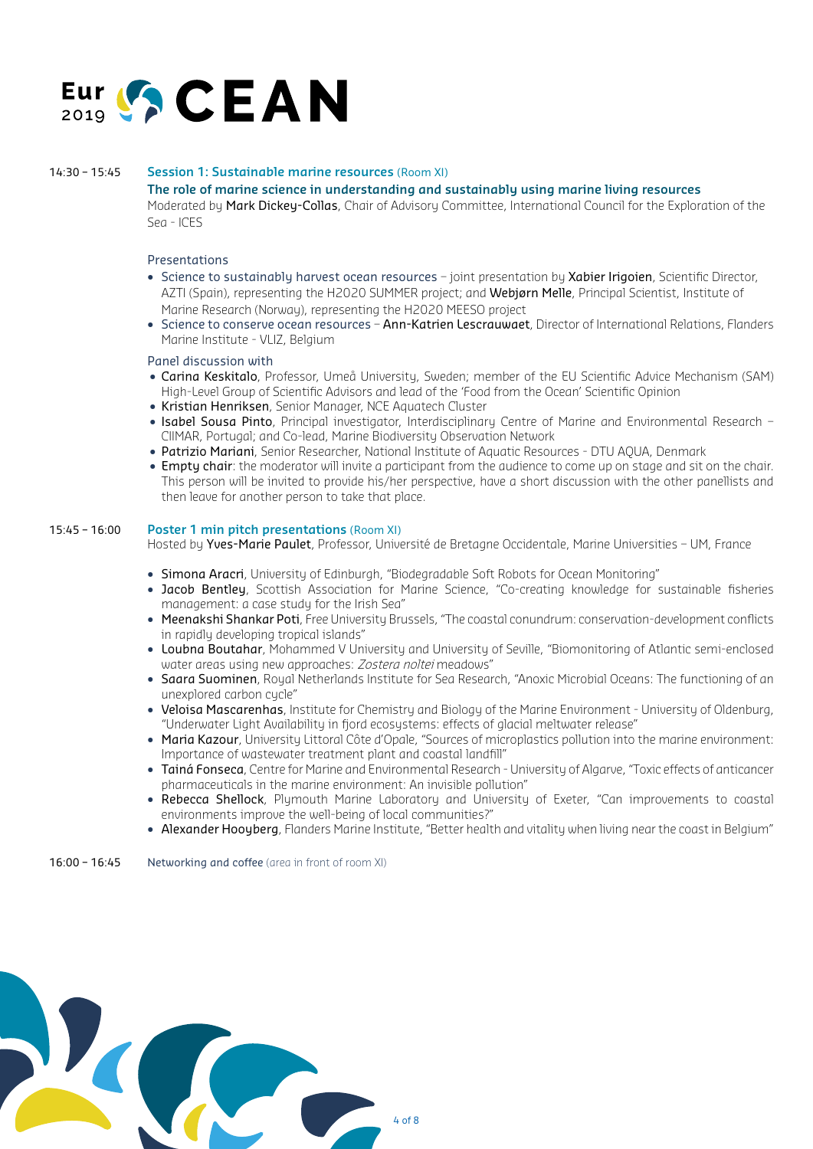

#### 14:30 – 15:45 **Session 1: Sustainable marine resources** (Room XI)

#### **The role of marine science in understanding and sustainably using marine living resources**

Moderated by Mark Dickey-Collas, Chair of Advisory Committee, International Council for the Exploration of the Sea - ICES **ion 1: Sustainable marine res**<br>r<mark>ole of marine science in unde</mark><br>rated by <mark>Mark Dickey-Collas</mark>, C

#### Presentations

- Science to sustainably harvest ocean resources joint presentation by Xabier Irigoien, Scientific Director, AZTI (Spain), representing the H2020 SUMMER project; and Webjørn Melle, Principal Scientist, Institute of Marine Research (Norway), representing the H2020 MEESO project e<mark>ntations</mark><br>ience to sustainably harvest o<br>TI (Spain), representing the H20.
- Science to conserve ocean resources Ann-Katrien Lescrauwaet, Director of International Relations, Flanders Marine Institute - VLIZ, Belgium

#### Panel discussion with

- Carina Keskitalo, Professor, Umeå University, Sweden; member of the EU Scientific Advice Mechanism (SAM) High-Level Group of Scientific Advisors and lead of the 'Food from the Ocean' Scientific Opinion
- Kristian Henriksen, Senior Manager, NCE Aquatech Cluster
- Isabel Sousa Pinto, Principal investigator, Interdisciplinary Centre of Marine and Environmental Research CIIMAR, Portugal; and Co-lead, Marine Biodiversity Observation Network
- Patrizio Mariani, Senior Researcher, National Institute of Aquatic Resources DTU AQUA, Denmark
- Empty chair: the moderator will invite a participant from the audience to come up on stage and sit on the chair. This person will be invited to provide his/her perspective, have a short discussion with the other panellists and then leave for another person to take that place.

#### 15:45 – 16:00 **Poster 1 min pitch presentations** (Room XI)

Hosted by Yves-Marie Paulet, Professor, Université de Bretagne Occidentale, Marine Universities - UM, France

- Simona Aracri, University of Edinburgh, "Biodegradable Soft Robots for Ocean Monitoring"
- Jacob Bentley, Scottish Association for Marine Science, "Co-creating knowledge for sustainable fisheries management: a case study for the Irish Sea"
- Meenakshi Shankar Poti, Free University Brussels, "The coastal conundrum: conservation-development conflicts in rapidly developing tropical islands"
- Loubna Boutahar, Mohammed V University and University of Seville, "Biomonitoring of Atlantic semi-enclosed water areas using new approaches: Zostera noltei meadows"
- Saara Suominen, Royal Netherlands Institute for Sea Research, "Anoxic Microbial Oceans: The functioning of an unexplored carbon cycle"
- Veloisa Mascarenhas, Institute for Chemistry and Biology of the Marine Environment University of Oldenburg, "Underwater Light Availability in fjord ecosystems: effects of glacial meltwater release"
- Maria Kazour, University Littoral Côte d'Opale, "Sources of microplastics pollution into the marine environment: Importance of wastewater treatment plant and coastal landfill"
- Tainá Fonseca, Centre for Marine and Environmental Research University of Algarve, "Toxic effects of anticancer pharmaceuticals in the marine environment: An invisible pollution"
- Rebecca Shellock, Plymouth Marine Laboratory and University of Exeter, "Can improvements to coastal environments improve the well-being of local communities?"
- Alexander Hooyberg, Flanders Marine Institute, "Better health and vitality when living near the coast in Belgium"

16:00 – 16:45 Networking and coffee (area in front of room XI)

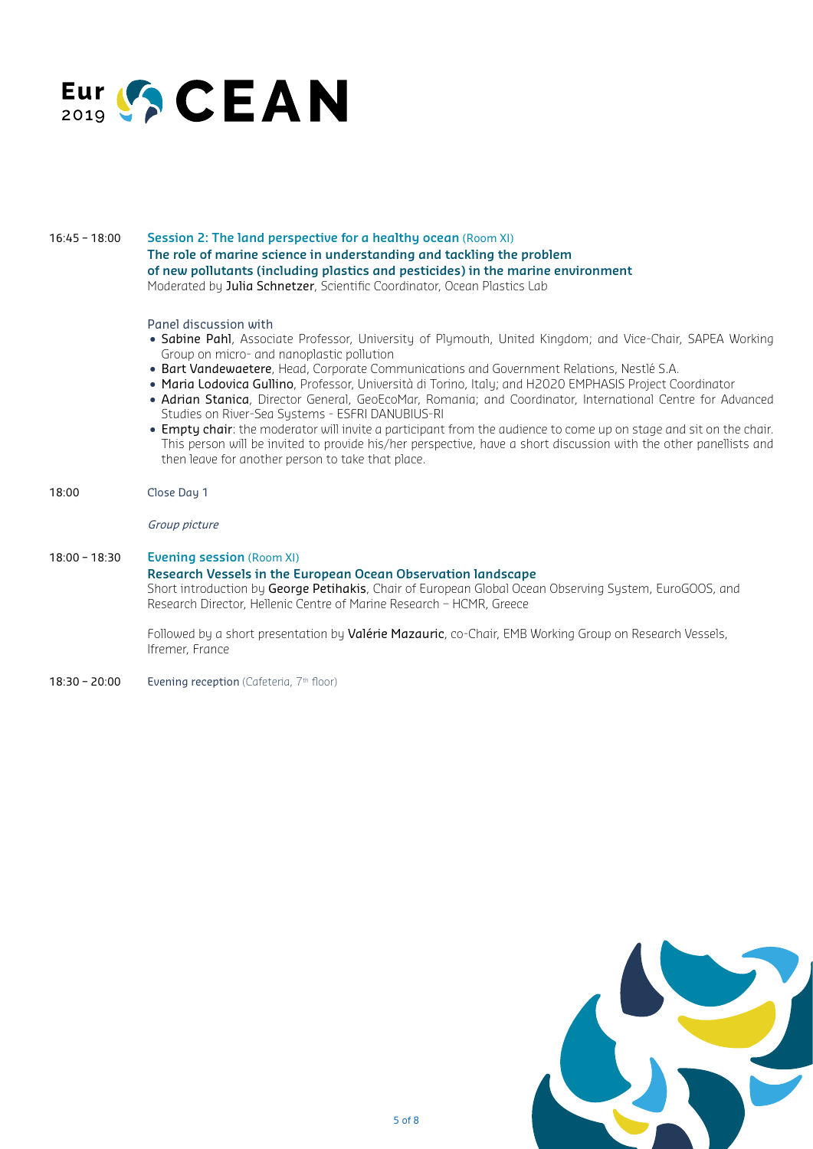

#### 16:45 – 18:00 **Session 2: The land perspective for a healthy ocean** (Room XI) **The role of marine science in understanding and tackling the problem of new pollutants (including plastics and pesticides) in the marine environment** Moderated by Julia Schnetzer, Scientific Coordinator, Ocean Plastics Lab r<mark>ole of marine science in unde</mark><br>w <mark>pollutants (including plast</mark><br>rated by <mark>Julia Schnetzer</mark>, Scient

Panel discussion with

- Sabine Pahl, Associate Professor, University of Plymouth, United Kingdom; and Vice-Chair, SAPEA Working Group on micro- and nanoplastic pollution
- Bart Vandewaetere, Head, Corporate Communications and Government Relations, Nestlé S.A.
- Maria Lodovica Gullino, Professor, Università di Torino, Italy; and H2020 EMPHASIS Project Coordinator
- Adrian Stanica, Director General, GeoEcoMar, Romania; and Coordinator, International Centre for Advanced Studies on River-Sea Systems - ESFRI DANUBIUS-RI
- Empty chair: the moderator will invite a participant from the audience to come up on stage and sit on the chair. This person will be invited to provide his/her perspective, have a short discussion with the other panellists and then leave for another person to take that place.

#### 18:00 Close Day 1

#### Group picture

#### 18:00 – 18:30 **Evening session** (Room XI) **Research Vessels in the European Ocean Observation landscape** Short introduction by George Petihakis, Chair of European Global Ocean Observing System, EuroGOOS, and Research Director, Hellenic Centre of Marine Research – HCMR, Greece

Followed by a short presentation by Valérie Mazauric, co-Chair, EMB Working Group on Research Vessels, Ifremer, France

18:30 – 20:00 Evening reception (Cafeteria,  $7<sup>th</sup>$  floor)

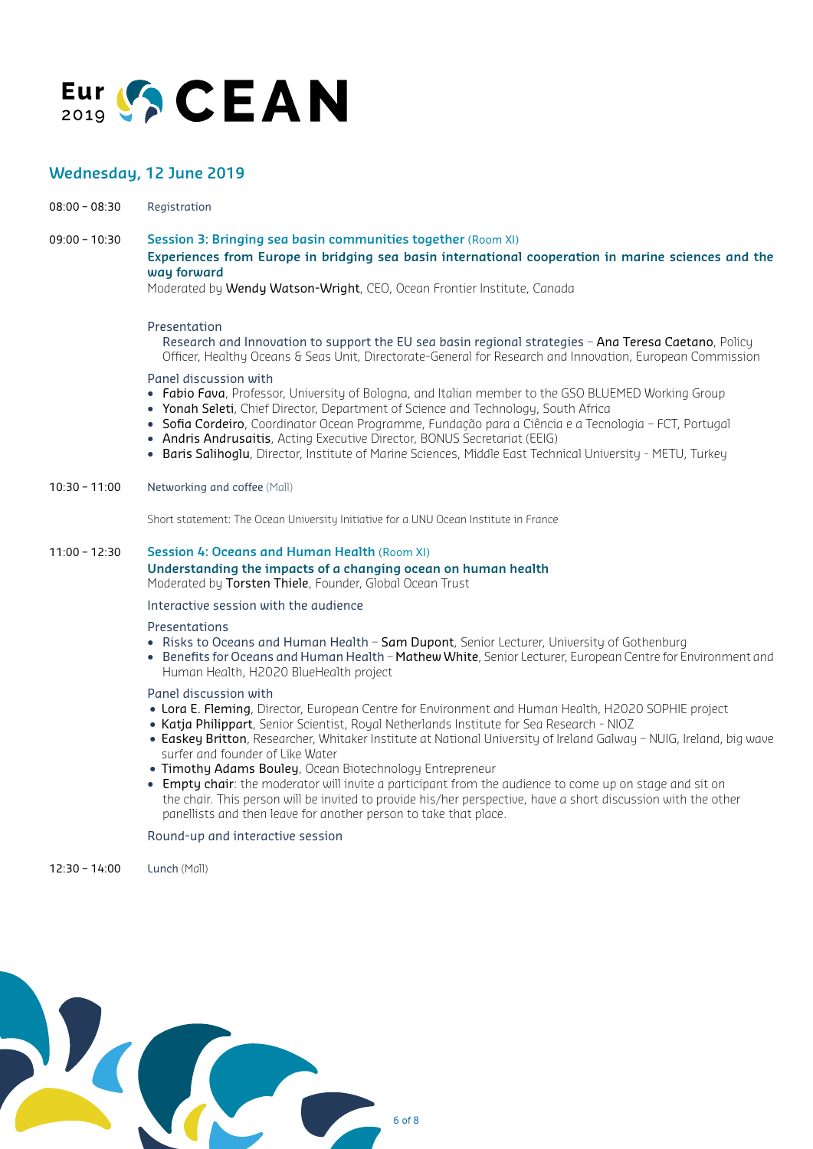

## **Wednesday, 12 June 2019**<br>08:00 – 08:30 Registration

08:00 – 08:30 Registration

09:00 – 10:30 **Session 3: Bringing sea basin communities together** (Room XI) **Experiences from Europe in bridging sea basin international cooperation in marine sciences and the way forward** <mark>Experiences from Europe in bridging sea basin international coopera<sup>.</sup><br>w<mark>ay forward</mark><br>Moderated by **Wendy Watson-Wright**, CEO, Ocean Frontier Institute, Canada</mark>

#### Presentation

Research and Innovation to support the EU sea basin regional strategies - Ana Teresa Caetano, Policy Officer, Healthy Oceans & Seas Unit, Directorate-General for Research and Innovation, European Commission

#### Panel discussion with

- Fabio Fava, Professor, University of Bologna, and Italian member to the GSO BLUEMED Working Group
- Yonah Seleti, Chief Director, Department of Science and Technology, South Africa
- Sofia Cordeiro, Coordinator Ocean Programme, Fundação para a Ciência e a Tecnologia FCT, Portugal
- Andris Andrusaitis, Acting Executive Director, BONUS Secretariat (EEIG)
- Baris Salihoglu, Director, Institute of Marine Sciences, Middle East Technical University METU, Turkey

#### 10:30 – 11:00 Networking and coffee (Mall)

Short statement: The Ocean University Initiative for a UNU Ocean Institute in France

#### 11:00 – 12:30 **Session 4: Oceans and Human Health** (Room XI) **Understanding the impacts of a changing ocean on human health**

Moderated by Torsten Thiele, Founder, Global Ocean Trust

Interactive session with the audience

#### Presentations

- Risks to Oceans and Human Health Sam Dupont, Senior Lecturer, University of Gothenburg
- Benefits for Oceans and Human Health Mathew White, Senior Lecturer, European Centre for Environment and Human Health, H2020 BlueHealth project

#### Panel discussion with

- Lora E. Fleming, Director, European Centre for Environment and Human Health, H2020 SOPHIE project
- Katja Philippart, Senior Scientist, Royal Netherlands Institute for Sea Research NIOZ
- Easkey Britton, Researcher, Whitaker Institute at National University of Ireland Galway NUIG, Ireland, big wave surfer and founder of Like Water
- Timothy Adams Bouley, Ocean Biotechnology Entrepreneur
- Empty chair: the moderator will invite a participant from the audience to come up on stage and sit on the chair. This person will be invited to provide his/her perspective, have a short discussion with the other panellists and then leave for another person to take that place.

#### Round-up and interactive session

12:30 – 14:00 Lunch (Mall)

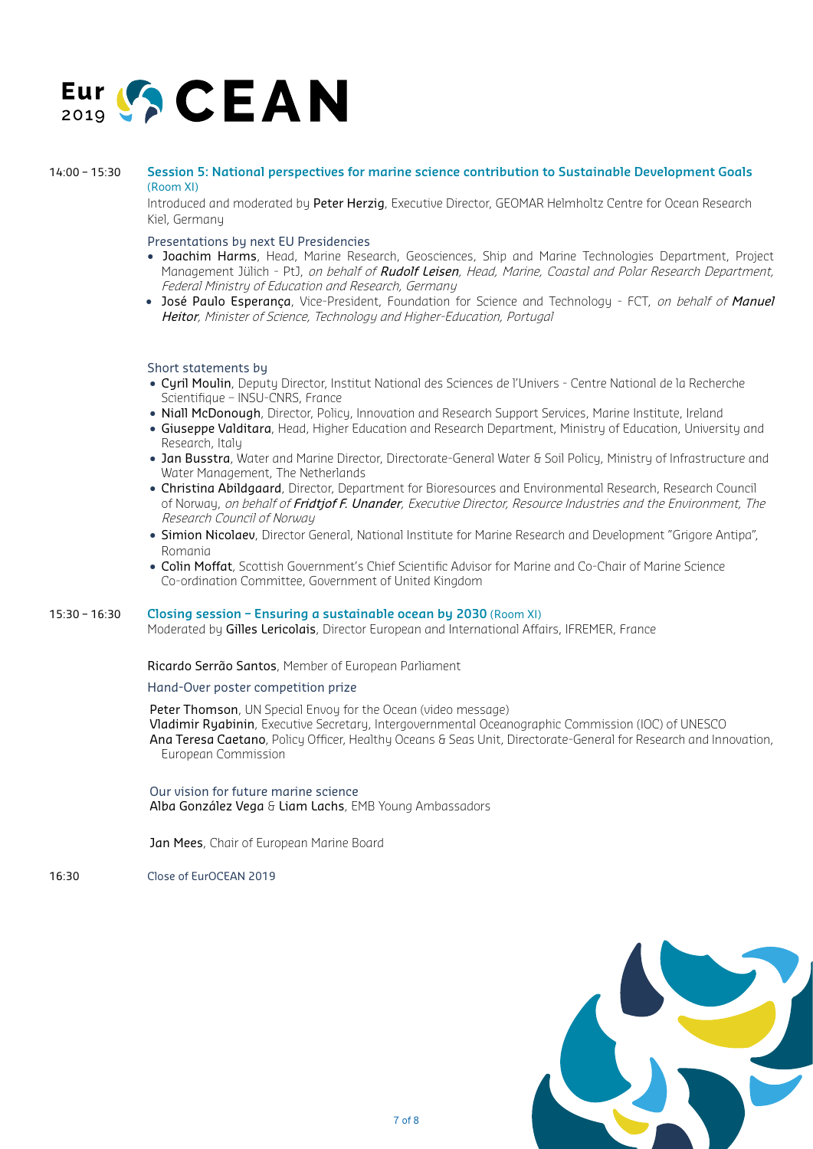

### 14:00 – 15:30 **Session 5: National perspectives for marine science contribution to Sustainable Development Goals<br>(Room XI)<br>Introduced and moderated by Peter Herzig, Executive Director, GEOMAR Helmholtz Centre for Ocean Res** (Room XI)

Introduced and moderated by Peter Herzig, Executive Director, GEOMAR Helmholtz Centre for Ocean Research Kiel, Germany

Presentations by next EU Presidencies

- Joachim Harms, Head, Marine Research, Geosciences, Ship and Marine Technologies Department, Project Management Jülich - PtJ, on behalf of Rudolf Leisen, Head, Marine, Coastal and Polar Research Department, Federal Ministry of Education and Research, Germany **Achim Harms,** Head, Marine For<br>Inagement Jülich - PtJ, *on beha<br>deral Ministry of Education and I*<br>sé Paulo Esperanca, Vice-Presi
- José Paulo Esperanca, Vice-President, Foundation for Science and Technology FCT, on behalf of Manuel Heitor, Minister of Science, Technology and Higher-Education, Portugal

#### Short statements by

- Cyril Moulin, Deputy Director, Institut National des Sciences de l'Univers Centre National de la Recherche Scientifique – INSU-CNRS, France
- Niall McDonough, Director, Policy, Innovation and Research Support Services, Marine Institute, Ireland
- Giuseppe Valditara, Head, Higher Education and Research Department, Ministry of Education, University and Research, Italy
- Jan Busstra, Water and Marine Director, Directorate-General Water & Soil Policy, Ministry of Infrastructure and Water Management, The Netherlands
- Christina Abildgaard, Director, Department for Bioresources and Environmental Research, Research Council of Norway, on behalf of Fridtiof F. Unander, Executive Director, Resource Industries and the Environment, The Research Council of Norway
- Simion Nicolaev, Director General, National Institute for Marine Research and Development "Grigore Antipa", Romania
- Colin Moffat, Scottish Government's Chief Scientific Advisor for Marine and Co-Chair of Marine Science Co-ordination Committee, Government of United Kingdom

#### 15:30 – 16:30 **Closing session – Ensuring a sustainable ocean by 2030** (Room XI)

Moderated by Gilles Lericolais, Director European and International Affairs, IFREMER, France

Ricardo Serrão Santos, Member of European Parliament

Hand-Over poster competition prize

Peter Thomson, UN Special Envoy for the Ocean (video message) Vladimir Ryabinin, Executive Secretary, Intergovernmental Oceanographic Commission (IOC) of UNESCO Ana Teresa Caetano, Policy Officer, Healthy Oceans & Seas Unit, Directorate-General for Research and Innovation, European Commission

Our vision for future marine science Alba González Vega & Liam Lachs, EMB Young Ambassadors

Jan Mees, Chair of European Marine Board

16:30 Close of EurOCEAN 2019